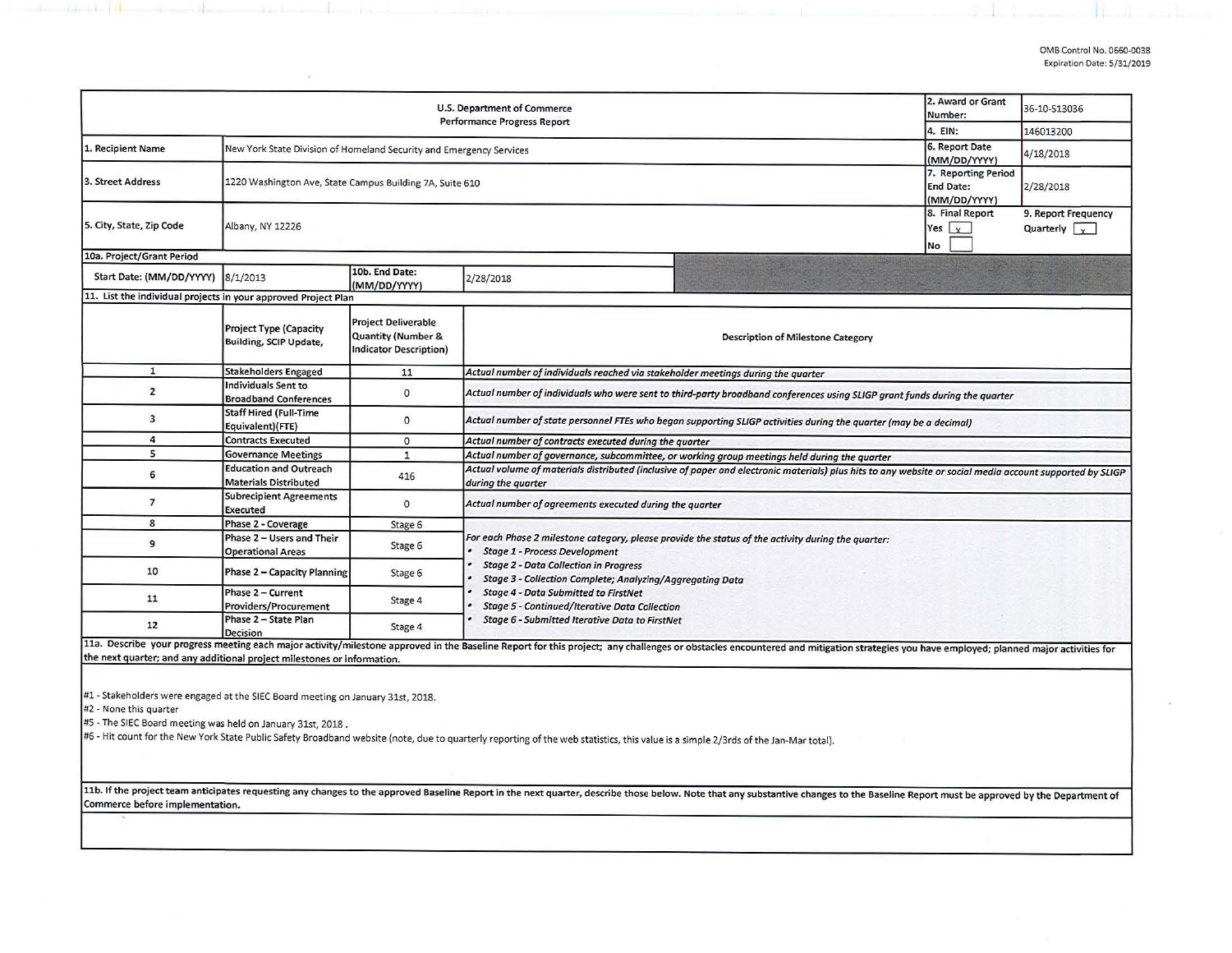| U.S. Department of Commerce<br><b>Performance Progress Report</b>                                                                                                        |                                                                                                                                                                                                                                                        |                                                                                                              |                                                                                                                                                                                                                                                         |  | 36-10-S13036 |  |  |  |  |
|--------------------------------------------------------------------------------------------------------------------------------------------------------------------------|--------------------------------------------------------------------------------------------------------------------------------------------------------------------------------------------------------------------------------------------------------|--------------------------------------------------------------------------------------------------------------|---------------------------------------------------------------------------------------------------------------------------------------------------------------------------------------------------------------------------------------------------------|--|--------------|--|--|--|--|
|                                                                                                                                                                          | 4. EIN:                                                                                                                                                                                                                                                | 146013200                                                                                                    |                                                                                                                                                                                                                                                         |  |              |  |  |  |  |
| 1. Recipient Name                                                                                                                                                        | New York State Division of Homeland Security and Emergency Services                                                                                                                                                                                    | 6. Report Date<br>(MM/DD/YYYY)                                                                               | 4/18/2018                                                                                                                                                                                                                                               |  |              |  |  |  |  |
| 3. Street Address                                                                                                                                                        | 1220 Washington Ave, State Campus Building 7A, Suite 610                                                                                                                                                                                               | 7. Reporting Period<br><b>End Date:</b><br>(MM/DD/YYYY)                                                      | 2/28/2018                                                                                                                                                                                                                                               |  |              |  |  |  |  |
| 5. City, State, Zip Code                                                                                                                                                 | Albany, NY 12226                                                                                                                                                                                                                                       | 8. Final Report<br>Yes $\vert$ $\vert$ $\vert$<br>No                                                         | 9. Report Frequency<br>Quarterly $\sqrt{y}$                                                                                                                                                                                                             |  |              |  |  |  |  |
| 10a. Project/Grant Period                                                                                                                                                |                                                                                                                                                                                                                                                        |                                                                                                              |                                                                                                                                                                                                                                                         |  |              |  |  |  |  |
| Start Date: (MM/DD/YYYY)                                                                                                                                                 | 8/1/2013                                                                                                                                                                                                                                               | 10b. End Date:<br>(MM/DD/YYYY)                                                                               | 2/28/2018                                                                                                                                                                                                                                               |  |              |  |  |  |  |
| 11. List the individual projects in your approved Project Plan                                                                                                           |                                                                                                                                                                                                                                                        |                                                                                                              |                                                                                                                                                                                                                                                         |  |              |  |  |  |  |
|                                                                                                                                                                          | <b>Project Type (Capacity</b><br>Building, SCIP Update,                                                                                                                                                                                                | <b>Project Deliverable</b><br><b>Quantity (Number &amp;</b><br><b>Indicator Description)</b>                 | <b>Description of Milestone Category</b>                                                                                                                                                                                                                |  |              |  |  |  |  |
| $\mathbf{1}$                                                                                                                                                             | <b>Stakeholders Engaged</b>                                                                                                                                                                                                                            | 11                                                                                                           | Actual number of individuals reached via stakeholder meetings during the quarter                                                                                                                                                                        |  |              |  |  |  |  |
| $\overline{2}$                                                                                                                                                           | Individuals Sent to<br><b>Broadband Conferences</b>                                                                                                                                                                                                    | $\circ$                                                                                                      | Actual number of individuals who were sent to third-party broadband conferences using SLIGP grant funds during the quarter                                                                                                                              |  |              |  |  |  |  |
| 3                                                                                                                                                                        | <b>Staff Hired (Full-Time</b><br>Equivalent)(FTE)                                                                                                                                                                                                      | 0                                                                                                            | Actual number of state personnel FTEs who began supporting SLIGP activities during the quarter (may be a decimal)                                                                                                                                       |  |              |  |  |  |  |
| $\overline{a}$                                                                                                                                                           | <b>Contracts Executed</b>                                                                                                                                                                                                                              | $\circ$                                                                                                      | Actual number of contracts executed during the quarter                                                                                                                                                                                                  |  |              |  |  |  |  |
| 5                                                                                                                                                                        | <b>Governance Meetings</b>                                                                                                                                                                                                                             | $\mathbf{1}$<br>Actual number of governance, subcommittee, or working group meetings held during the quarter |                                                                                                                                                                                                                                                         |  |              |  |  |  |  |
| 6                                                                                                                                                                        | <b>Education and Outreach</b><br>Actual volume of materials distributed (inclusive of paper and electronic materials) plus hits to any website or social media account supported by SLIGP<br>416<br><b>Materials Distributed</b><br>during the quarter |                                                                                                              |                                                                                                                                                                                                                                                         |  |              |  |  |  |  |
| $\overline{7}$                                                                                                                                                           | <b>Subrecipient Agreements</b><br>Executed                                                                                                                                                                                                             | $\Omega$                                                                                                     | Actual number of agreements executed during the quarter                                                                                                                                                                                                 |  |              |  |  |  |  |
| 8                                                                                                                                                                        | Phase 2 - Coverage                                                                                                                                                                                                                                     | Stage 6                                                                                                      |                                                                                                                                                                                                                                                         |  |              |  |  |  |  |
| 9                                                                                                                                                                        | Phase 2 - Users and Their<br><b>Operational Areas</b>                                                                                                                                                                                                  | Stage 6                                                                                                      | For each Phase 2 milestone category, please provide the status of the activity during the quarter:<br><b>Stage 1 - Process Development</b><br><b>Stage 2 - Data Collection in Progress</b><br>Stage 3 - Collection Complete; Analyzing/Aggregating Data |  |              |  |  |  |  |
| 10                                                                                                                                                                       | Phase 2 - Capacity Planning                                                                                                                                                                                                                            | Stage 6                                                                                                      |                                                                                                                                                                                                                                                         |  |              |  |  |  |  |
| 11                                                                                                                                                                       | Phase 2 - Current<br>Providers/Procurement                                                                                                                                                                                                             | Stage 4                                                                                                      | <b>Stage 4 - Data Submitted to FirstNet</b><br><b>Stage 5 - Continued/Iterative Data Collection</b>                                                                                                                                                     |  |              |  |  |  |  |
| 12                                                                                                                                                                       | Phase 2 - State Plan<br><b>Decision</b>                                                                                                                                                                                                                | Stage 4                                                                                                      | Stage 6 - Submitted Iterative Data to FirstNet                                                                                                                                                                                                          |  |              |  |  |  |  |
|                                                                                                                                                                          |                                                                                                                                                                                                                                                        |                                                                                                              | 11a. Describe your progress meeting each major activity/milestone approved in the Baseline Report for this project; any challenges or obstacles encountered and mitigation strategies you have employed; planned major activit                          |  |              |  |  |  |  |
| the next quarter; and any additional project milestones or information.                                                                                                  |                                                                                                                                                                                                                                                        |                                                                                                              |                                                                                                                                                                                                                                                         |  |              |  |  |  |  |
| #1 - Stakeholders were engaged at the SIEC Board meeting on January 31st, 2018.<br>#2 - None this quarter<br>#5 - The SIEC Board meeting was held on January 31st, 2018. |                                                                                                                                                                                                                                                        |                                                                                                              | #6 - Hit count for the New York State Public Safety Broadband website (note, due to quarterly reporting of the web statistics, this value is a simple 2/3rds of the Jan-Mar total).                                                                     |  |              |  |  |  |  |
|                                                                                                                                                                          |                                                                                                                                                                                                                                                        |                                                                                                              |                                                                                                                                                                                                                                                         |  |              |  |  |  |  |

Commerce before implementation. 11b. If the project team anticipates requesting any changes to the approved Baseline Report in the next quarter, describe those below. Note that any substantive changes to the Baseline Report must be approved by the Depart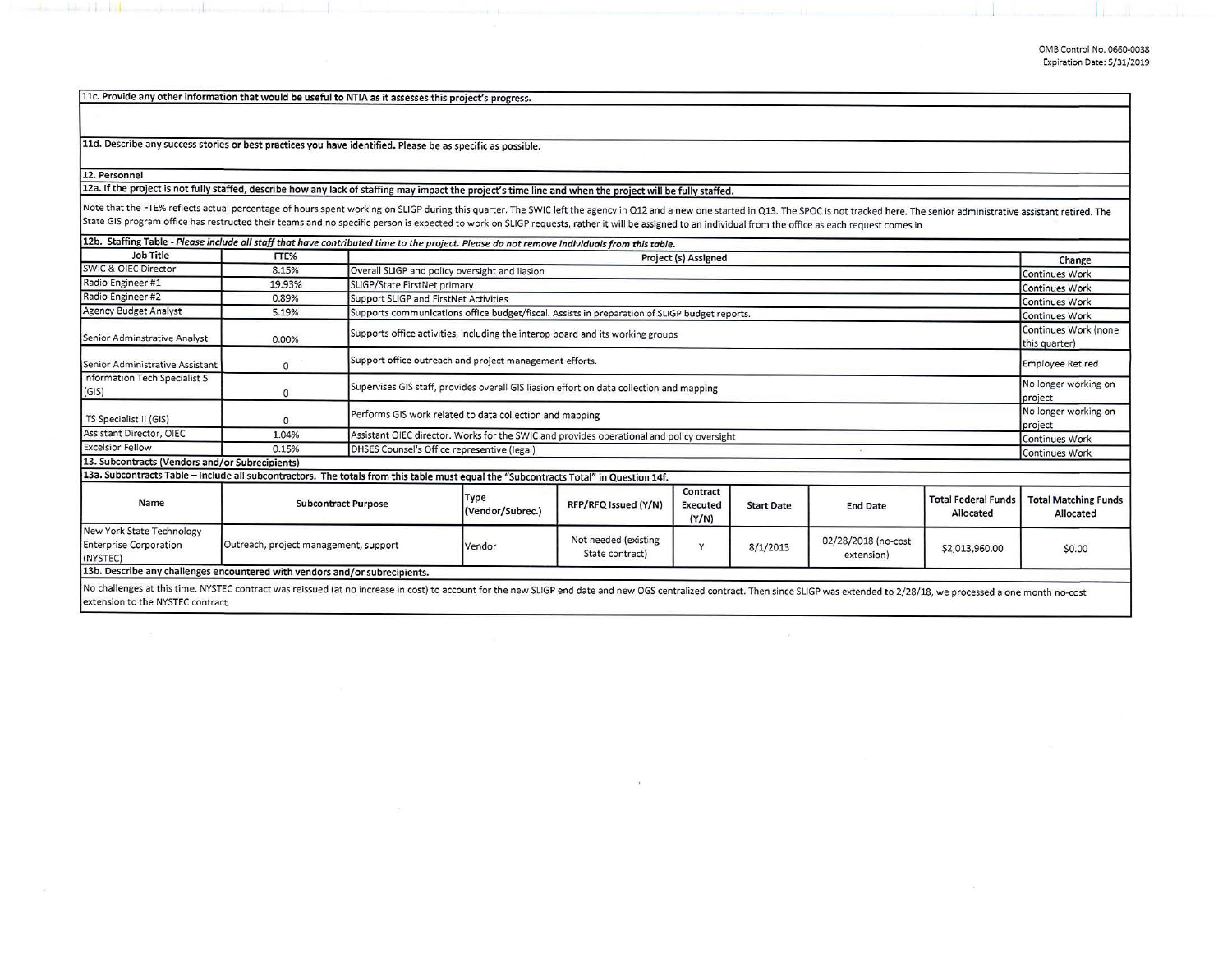11c. Provide any other information that would be useful to NTIA as it assesses this project's progress.

11d. Describe any success stories or best practices you have identified. Please be as specific as possible.

12. Personnel

the third of the bill and the complete

12a. If the project is not fully staffed, describe how any lack of staffing may impact the project's time line and when the project will be fully staffed.

Note that the FTE% reflects actual percentage of hours spent working on SLIGP during this quarter. The SWIC left the agency in Q12 and a new one started in Q13. The SPOC is not tracked here. The senior administrative assis State GIS program office has restructed their teams and no specific person is expected to work on SLIGP requests, rather it will be assigned to an individual from the office as each request comes in.

| 12b. Staffing Table - Please include all staff that have contributed time to the project. Please do not remove individuals from this table.                                                                                    |                                       |                                                                                               |                                                |                                         |                               |                   |                                   |                                         |                                          |
|--------------------------------------------------------------------------------------------------------------------------------------------------------------------------------------------------------------------------------|---------------------------------------|-----------------------------------------------------------------------------------------------|------------------------------------------------|-----------------------------------------|-------------------------------|-------------------|-----------------------------------|-----------------------------------------|------------------------------------------|
| Job Title                                                                                                                                                                                                                      | FTE%                                  |                                                                                               | Project (s) Assigned                           |                                         |                               |                   |                                   |                                         |                                          |
| <b>SWIC &amp; OIEC Director</b>                                                                                                                                                                                                | 8.15%                                 |                                                                                               | Overall SLIGP and policy oversight and liasion |                                         |                               |                   |                                   |                                         |                                          |
| Radio Engineer #1                                                                                                                                                                                                              | 19.93%                                |                                                                                               | SLIGP/State FirstNet primary                   |                                         |                               |                   |                                   |                                         |                                          |
| Radio Engineer #2                                                                                                                                                                                                              | 0.89%                                 | Support SLIGP and FirstNet Activities                                                         |                                                |                                         |                               |                   |                                   |                                         | <b>Continues Work</b>                    |
| Agency Budget Analyst                                                                                                                                                                                                          | 5.19%                                 | Supports communications office budget/fiscal. Assists in preparation of SLIGP budget reports. |                                                |                                         |                               |                   |                                   | <b>Continues Work</b>                   |                                          |
| Senior Adminstrative Analyst                                                                                                                                                                                                   | 0.00%                                 | Supports office activities, including the interop board and its working groups                |                                                |                                         |                               |                   |                                   | Continues Work (none<br>this quarter)   |                                          |
| Senior Administrative Assistant                                                                                                                                                                                                | $\mathbf{0}$                          | Support office outreach and project management efforts.                                       |                                                |                                         |                               |                   |                                   |                                         | <b>Employee Retired</b>                  |
| Information Tech Specialist 5<br>(GIS)                                                                                                                                                                                         | $\Omega$                              | Supervises GIS staff, provides overall GIS liasion effort on data collection and mapping      |                                                |                                         |                               |                   |                                   |                                         | No longer working on<br>project          |
| ITS Specialist II (GIS)                                                                                                                                                                                                        | $\mathbf{0}$                          | Performs GIS work related to data collection and mapping                                      |                                                |                                         |                               |                   |                                   |                                         | No longer working on<br>project          |
| Assistant Director, OIEC                                                                                                                                                                                                       | 1.04%                                 | Assistant OIEC director. Works for the SWIC and provides operational and policy oversight     |                                                |                                         |                               |                   |                                   |                                         | Continues Work                           |
| <b>Excelsior Fellow</b>                                                                                                                                                                                                        | 0.15%                                 | DHSES Counsel's Office representive (legal)                                                   |                                                |                                         |                               |                   |                                   |                                         | Continues Work                           |
| 13. Subcontracts (Vendors and/or Subrecipients)                                                                                                                                                                                |                                       |                                                                                               |                                                |                                         |                               |                   |                                   |                                         |                                          |
| 13a. Subcontracts Table - Include all subcontractors. The totals from this table must equal the "Subcontracts Total" in Question 14f.                                                                                          |                                       |                                                                                               |                                                |                                         |                               |                   |                                   |                                         |                                          |
| Name                                                                                                                                                                                                                           | <b>Subcontract Purpose</b>            |                                                                                               | Type<br>(Vendor/Subrec.)                       | RFP/RFQ Issued (Y/N)                    | Contract<br>Executed<br>(Y/N) | <b>Start Date</b> | <b>End Date</b>                   | <b>Total Federal Funds</b><br>Allocated | <b>Total Matching Funds</b><br>Allocated |
| New York State Technology<br><b>Enterprise Corporation</b><br>(NYSTEC)                                                                                                                                                         | Outreach, project management, support |                                                                                               | Vendor                                         | Not needed (existing<br>State contract) | Y                             | 8/1/2013          | 02/28/2018 (no-cost<br>extension) | \$2,013,960.00                          | \$0.00                                   |
| 13b. Describe any challenges encountered with vendors and/or subrecipients.                                                                                                                                                    |                                       |                                                                                               |                                                |                                         |                               |                   |                                   |                                         |                                          |
| No challenges at this time. NYSTEC contract was reissued (at no increase in cost) to account for the new SLIGP end date and new OGS centralized contract. Then since SLIGP was extended to 2/28/18, we processed a one month n |                                       |                                                                                               |                                                |                                         |                               |                   |                                   |                                         |                                          |

extension to the NYSTEC contract.